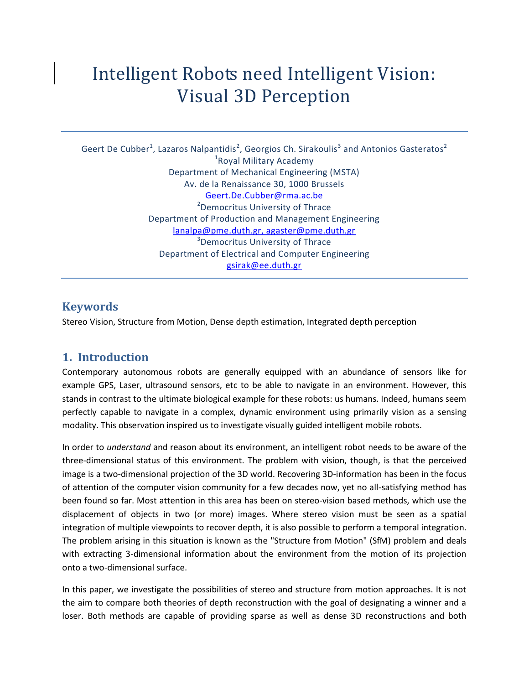# Intelligent Robots need Intelligent Vision: Visual 3D Perception

Geert De Cubber<sup>1</sup>, Lazaros Nalpantidis<sup>2</sup>, Georgios Ch. Sirakoulis<sup>3</sup> and Antonios Gasteratos<sup>2</sup> <sup>1</sup> Royal Military Academy Department of Mechanical Engineering (MSTA) Av. de la Renaissance 30, 1000 Brussels [Geert.De.Cubber@rma.ac.be](mailto:Geert.De.Cubber@rma.ac.be) <sup>2</sup>Democritus University of Thrace Department of Production and Management Engineerin[g](mailto:lanalpa@pme.duth.gr,%20agaster@pme.duth.gr) [lanalpa@pme.duth.gr, agaster@pme.duth.gr](mailto:lanalpa@pme.duth.gr,%20agaster@pme.duth.gr) <sup>3</sup>Democritus University of Thrace Department of Electrical and Computer Engineering [gsirak@ee.duth.gr](mailto:Geert.De.Cubber@rma.ac.be)

## **Keywords**

Stereo Vision, Structure from Motion, Dense depth estimation, Integrated depth perception

## **1. Introduction**

Contemporary autonomous robots are generally equipped with an abundance of sensors like for example GPS, Laser, ultrasound sensors, etc to be able to navigate in an environment. However, this stands in contrast to the ultimate biological example for these robots: us humans. Indeed, humans seem perfectly capable to navigate in a complex, dynamic environment using primarily vision as a sensing modality. This observation inspired us to investigate visually guided intelligent mobile robots.

In order to *understand* and reason about its environment, an intelligent robot needs to be aware of the three-dimensional status of this environment. The problem with vision, though, is that the perceived image is a two-dimensional projection of the 3D world. Recovering 3D-information has been in the focus of attention of the computer vision community for a few decades now, yet no all-satisfying method has been found so far. Most attention in this area has been on stereo-vision based methods, which use the displacement of objects in two (or more) images. Where stereo vision must be seen as a spatial integration of multiple viewpoints to recover depth, it is also possible to perform a temporal integration. The problem arising in this situation is known as the "Structure from Motion" (SfM) problem and deals with extracting 3-dimensional information about the environment from the motion of its projection onto a two-dimensional surface.

In this paper, we investigate the possibilities of stereo and structure from motion approaches. It is not the aim to compare both theories of depth reconstruction with the goal of designating a winner and a loser. Both methods are capable of providing sparse as well as dense 3D reconstructions and both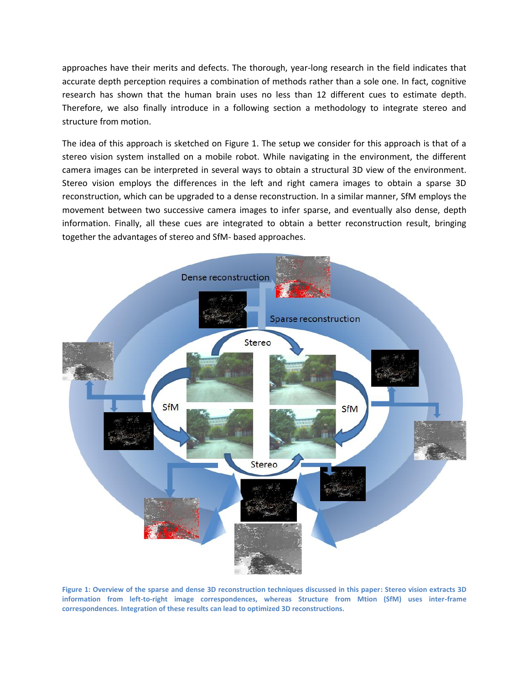approaches have their merits and defects. The thorough, year-long research in the field indicates that accurate depth perception requires a combination of methods rather than a sole one. In fact, cognitive research has shown that the human brain uses no less than 12 different cues to estimate depth. Therefore, we also finally introduce in a following section a methodology to integrate stereo and structure from motion.

The idea of this approach is sketched on [Figure 1.](#page-1-0) The setup we consider for this approach is that of a stereo vision system installed on a mobile robot. While navigating in the environment, the different camera images can be interpreted in several ways to obtain a structural 3D view of the environment. Stereo vision employs the differences in the left and right camera images to obtain a sparse 3D reconstruction, which can be upgraded to a dense reconstruction. In a similar manner, SfM employs the movement between two successive camera images to infer sparse, and eventually also dense, depth information. Finally, all these cues are integrated to obtain a better reconstruction result, bringing together the advantages of stereo and SfM- based approaches.



<span id="page-1-0"></span>**Figure 1: Overview of the sparse and dense 3D reconstruction techniques discussed in this paper: Stereo vision extracts 3D information from left-to-right image correspondences, whereas Structure from Mtion (SfM) uses inter-frame correspondences. Integration of these results can lead to optimized 3D reconstructions.**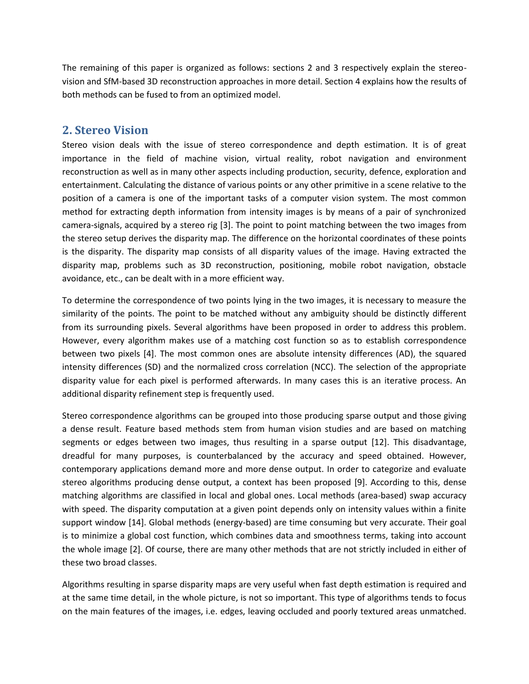The remaining of this paper is organized as follows: sections 2 and 3 respectively explain the stereovision and SfM-based 3D reconstruction approaches in more detail. Section 4 explains how the results of both methods can be fused to from an optimized model.

### **2. Stereo Vision**

Stereo vision deals with the issue of stereo correspondence and depth estimation. It is of great importance in the field of machine vision, virtual reality, robot navigation and environment reconstruction as well as in many other aspects including production, security, defence, exploration and entertainment. Calculating the distance of various points or any other primitive in a scene relative to the position of a camera is one of the important tasks of a computer vision system. The most common method for extracting depth information from intensity images is by means of a pair of synchronized camera-signals, acquired by a stereo rig [\[3\].](#page-6-0) The point to point matching between the two images from the stereo setup derives the disparity map. The difference on the horizontal coordinates of these points is the disparity. The disparity map consists of all disparity values of the image. Having extracted the disparity map, problems such as 3D reconstruction, positioning, mobile robot navigation, obstacle avoidance, etc., can be dealt with in a more efficient way.

To determine the correspondence of two points lying in the two images, it is necessary to measure the similarity of the points. The point to be matched without any ambiguity should be distinctly different from its surrounding pixels. Several algorithms have been proposed in order to address this problem. However, every algorithm makes use of a matching cost function so as to establish correspondence between two pixels [\[4\].](#page-6-1) The most common ones are absolute intensity differences (AD), the squared intensity differences (SD) and the normalized cross correlation (NCC). The selection of the appropriate disparity value for each pixel is performed afterwards. In many cases this is an iterative process. An additional disparity refinement step is frequently used.

Stereo correspondence algorithms can be grouped into those producing sparse output and those giving a dense result. Feature based methods stem from human vision studies and are based on matching segments or edges between two images, thus resulting in a sparse output [\[12\].](#page-7-0) This disadvantage, dreadful for many purposes, is counterbalanced by the accuracy and speed obtained. However, contemporary applications demand more and more dense output. In order to categorize and evaluate stereo algorithms producing dense output, a context has been proposed [\[9\].](#page-6-2) According to this, dense matching algorithms are classified in local and global ones. Local methods (area-based) swap accuracy with speed. The disparity computation at a given point depends only on intensity values within a finite support window [\[14\].](#page-7-1) Global methods (energy-based) are time consuming but very accurate. Their goal is to minimize a global cost function, which combines data and smoothness terms, taking into account the whole image [\[2\].](#page-6-3) Of course, there are many other methods that are not strictly included in either of these two broad classes.

Algorithms resulting in sparse disparity maps are very useful when fast depth estimation is required and at the same time detail, in the whole picture, is not so important. This type of algorithms tends to focus on the main features of the images, i.e. edges, leaving occluded and poorly textured areas unmatched.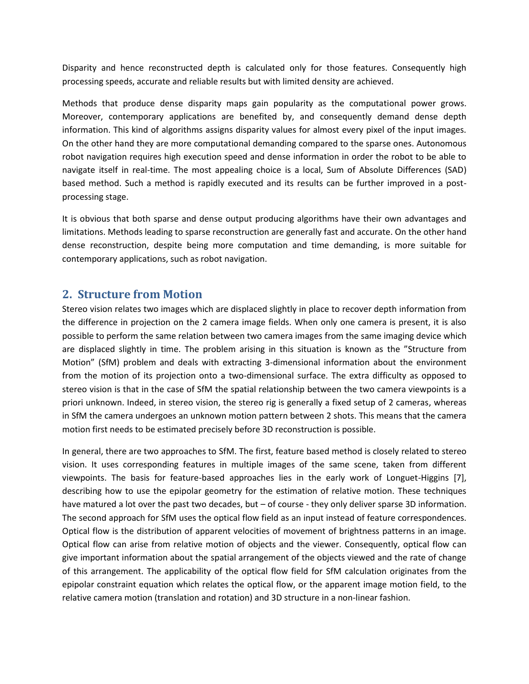Disparity and hence reconstructed depth is calculated only for those features. Consequently high processing speeds, accurate and reliable results but with limited density are achieved.

Methods that produce dense disparity maps gain popularity as the computational power grows. Moreover, contemporary applications are benefited by, and consequently demand dense depth information. This kind of algorithms assigns disparity values for almost every pixel of the input images. On the other hand they are more computational demanding compared to the sparse ones. Autonomous robot navigation requires high execution speed and dense information in order the robot to be able to navigate itself in real-time. The most appealing choice is a local, Sum of Absolute Differences (SAD) based method. Such a method is rapidly executed and its results can be further improved in a postprocessing stage.

It is obvious that both sparse and dense output producing algorithms have their own advantages and limitations. Methods leading to sparse reconstruction are generally fast and accurate. On the other hand dense reconstruction, despite being more computation and time demanding, is more suitable for contemporary applications, such as robot navigation.

#### **2. Structure from Motion**

Stereo vision relates two images which are displaced slightly in place to recover depth information from the difference in projection on the 2 camera image fields. When only one camera is present, it is also possible to perform the same relation between two camera images from the same imaging device which are displaced slightly in time. The problem arising in this situation is known as the "Structure from Motion" (SfM) problem and deals with extracting 3-dimensional information about the environment from the motion of its projection onto a two-dimensional surface. The extra difficulty as opposed to stereo vision is that in the case of SfM the spatial relationship between the two camera viewpoints is a priori unknown. Indeed, in stereo vision, the stereo rig is generally a fixed setup of 2 cameras, whereas in SfM the camera undergoes an unknown motion pattern between 2 shots. This means that the camera motion first needs to be estimated precisely before 3D reconstruction is possible.

In general, there are two approaches to SfM. The first, feature based method is closely related to stereo vision. It uses corresponding features in multiple images of the same scene, taken from different viewpoints. The basis for feature-based approaches lies in the early work of Longuet-Higgins [\[7\],](#page-6-4) describing how to use the epipolar geometry for the estimation of relative motion. These techniques have matured a lot over the past two decades, but – of course - they only deliver sparse 3D information. The second approach for SfM uses the optical flow field as an input instead of feature correspondences. Optical flow is the distribution of apparent velocities of movement of brightness patterns in an image. Optical flow can arise from relative motion of objects and the viewer. Consequently, optical flow can give important information about the spatial arrangement of the objects viewed and the rate of change of this arrangement. The applicability of the optical flow field for SfM calculation originates from the epipolar constraint equation which relates the optical flow, or the apparent image motion field, to the relative camera motion (translation and rotation) and 3D structure in a non-linear fashion.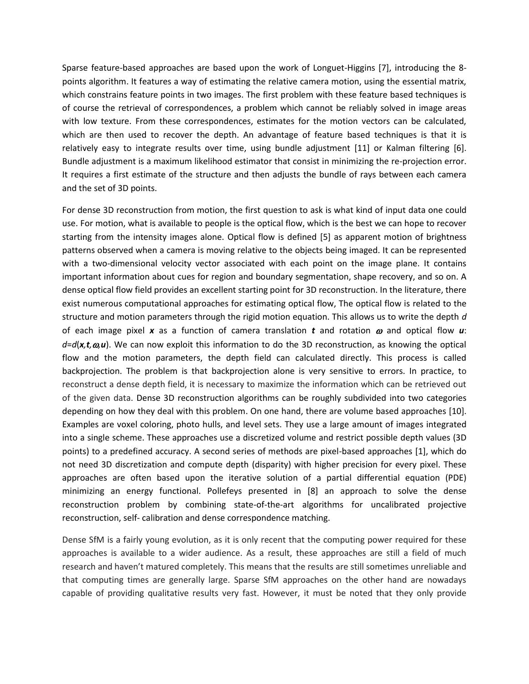Sparse feature-based approaches are based upon the work of Longuet-Higgins [\[7\],](#page-6-4) introducing the 8 points algorithm. It features a way of estimating the relative camera motion, using the essential matrix, which constrains feature points in two images. The first problem with these feature based techniques is of course the retrieval of correspondences, a problem which cannot be reliably solved in image areas with low texture. From these correspondences, estimates for the motion vectors can be calculated, which are then used to recover the depth. An advantage of feature based techniques is that it is relatively easy to integrate results over time, using bundle adjustment [\[11\]](#page-7-2) or Kalman filtering [\[6\].](#page-6-5) Bundle adjustment is a maximum likelihood estimator that consist in minimizing the re-projection error. It requires a first estimate of the structure and then adjusts the bundle of rays between each camera and the set of 3D points.

For dense 3D reconstruction from motion, the first question to ask is what kind of input data one could use. For motion, what is available to people is the optical flow, which is the best we can hope to recover starting from the intensity images alone. Optical flow is defined [\[5\]](#page-6-6) as apparent motion of brightness patterns observed when a camera is moving relative to the objects being imaged. It can be represented with a two-dimensional velocity vector associated with each point on the image plane. It contains important information about cues for region and boundary segmentation, shape recovery, and so on. A dense optical flow field provides an excellent starting point for 3D reconstruction. In the literature, there exist numerous computational approaches for estimating optical flow, The optical flow is related to the structure and motion parameters through the rigid motion equation. This allows us to write the depth *d* of each image pixel x as a function of camera translation t and rotation  $\omega$  and optical flow  $\boldsymbol{u}$ : *d*=*d*(*x,t,,u*). We can now exploit this information to do the 3D reconstruction, as knowing the optical flow and the motion parameters, the depth field can calculated directly. This process is called backprojection. The problem is that backprojection alone is very sensitive to errors. In practice, to reconstruct a dense depth field, it is necessary to maximize the information which can be retrieved out of the given data. Dense 3D reconstruction algorithms can be roughly subdivided into two categories depending on how they deal with this problem. On one hand, there are volume based approaches [\[10\].](#page-7-3) Examples are voxel coloring, photo hulls, and level sets. They use a large amount of images integrated into a single scheme. These approaches use a discretized volume and restrict possible depth values (3D points) to a predefined accuracy. A second series of methods are pixel-based approaches [\[1\],](#page-6-7) which do not need 3D discretization and compute depth (disparity) with higher precision for every pixel. These approaches are often based upon the iterative solution of a partial differential equation (PDE) minimizing an energy functional. Pollefeys presented in [\[8\]](#page-6-8) an approach to solve the dense reconstruction problem by combining state-of-the-art algorithms for uncalibrated projective reconstruction, self- calibration and dense correspondence matching.

Dense SfM is a fairly young evolution, as it is only recent that the computing power required for these approaches is available to a wider audience. As a result, these approaches are still a field of much research and haven't matured completely. This means that the results are still sometimes unreliable and that computing times are generally large. Sparse SfM approaches on the other hand are nowadays capable of providing qualitative results very fast. However, it must be noted that they only provide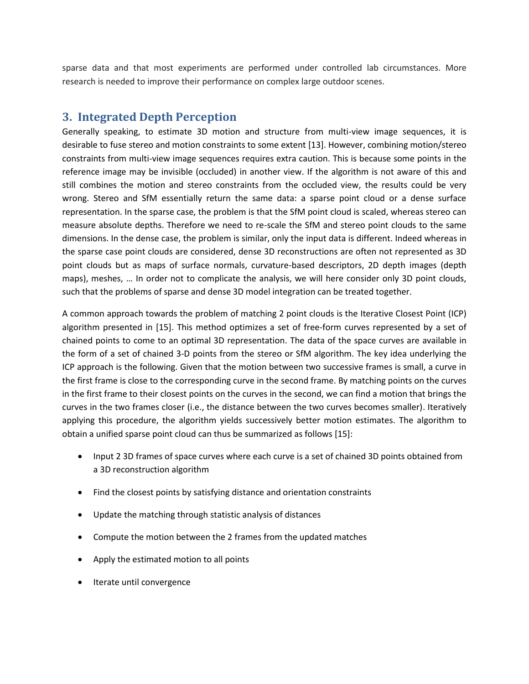sparse data and that most experiments are performed under controlled lab circumstances. More research is needed to improve their performance on complex large outdoor scenes.

## **3. Integrated Depth Perception**

Generally speaking, to estimate 3D motion and structure from multi-view image sequences, it is desirable to fuse stereo and motion constraints to some exten[t \[13\].](#page-7-4) However, combining motion/stereo constraints from multi-view image sequences requires extra caution. This is because some points in the reference image may be invisible (occluded) in another view. If the algorithm is not aware of this and still combines the motion and stereo constraints from the occluded view, the results could be very wrong. Stereo and SfM essentially return the same data: a sparse point cloud or a dense surface representation. In the sparse case, the problem is that the SfM point cloud is scaled, whereas stereo can measure absolute depths. Therefore we need to re-scale the SfM and stereo point clouds to the same dimensions. In the dense case, the problem is similar, only the input data is different. Indeed whereas in the sparse case point clouds are considered, dense 3D reconstructions are often not represented as 3D point clouds but as maps of surface normals, curvature-based descriptors, 2D depth images (depth maps), meshes, … In order not to complicate the analysis, we will here consider only 3D point clouds, such that the problems of sparse and dense 3D model integration can be treated together.

A common approach towards the problem of matching 2 point clouds is the Iterative Closest Point (ICP) algorithm presented in [\[15\].](#page-7-5) This method optimizes a set of free-form curves represented by a set of chained points to come to an optimal 3D representation. The data of the space curves are available in the form of a set of chained 3-D points from the stereo or SfM algorithm. The key idea underlying the ICP approach is the following. Given that the motion between two successive frames is small, a curve in the first frame is close to the corresponding curve in the second frame. By matching points on the curves in the first frame to their closest points on the curves in the second, we can find a motion that brings the curves in the two frames closer (i.e., the distance between the two curves becomes smaller). Iteratively applying this procedure, the algorithm yields successively better motion estimates. The algorithm to obtain a unified sparse point cloud can thus be summarized as follows [\[15\]:](#page-7-5)

- Input 2 3D frames of space curves where each curve is a set of chained 3D points obtained from a 3D reconstruction algorithm
- Find the closest points by satisfying distance and orientation constraints
- Update the matching through statistic analysis of distances
- Compute the motion between the 2 frames from the updated matches
- Apply the estimated motion to all points
- Iterate until convergence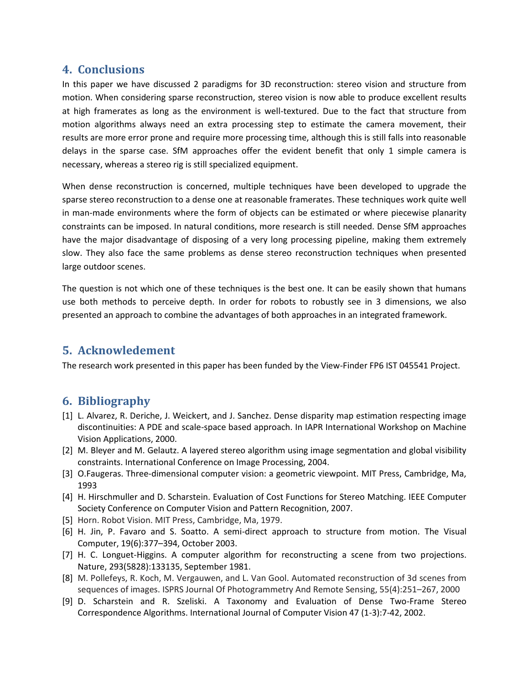## **4. Conclusions**

In this paper we have discussed 2 paradigms for 3D reconstruction: stereo vision and structure from motion. When considering sparse reconstruction, stereo vision is now able to produce excellent results at high framerates as long as the environment is well-textured. Due to the fact that structure from motion algorithms always need an extra processing step to estimate the camera movement, their results are more error prone and require more processing time, although this is still falls into reasonable delays in the sparse case. SfM approaches offer the evident benefit that only 1 simple camera is necessary, whereas a stereo rig is still specialized equipment.

When dense reconstruction is concerned, multiple techniques have been developed to upgrade the sparse stereo reconstruction to a dense one at reasonable framerates. These techniques work quite well in man-made environments where the form of objects can be estimated or where piecewise planarity constraints can be imposed. In natural conditions, more research is still needed. Dense SfM approaches have the major disadvantage of disposing of a very long processing pipeline, making them extremely slow. They also face the same problems as dense stereo reconstruction techniques when presented large outdoor scenes.

The question is not which one of these techniques is the best one. It can be easily shown that humans use both methods to perceive depth. In order for robots to robustly see in 3 dimensions, we also presented an approach to combine the advantages of both approaches in an integrated framework.

# **5. Acknowledement**

The research work presented in this paper has been funded by the View-Finder FP6 IST 045541 Project.

# **6. Bibliography**

- <span id="page-6-7"></span>[1] L. Alvarez, R. Deriche, J. Weickert, and J. Sanchez. Dense disparity map estimation respecting image discontinuities: A PDE and scale-space based approach. In IAPR International Workshop on Machine Vision Applications, 2000.
- <span id="page-6-3"></span>[2] M. Bleyer and M. Gelautz. A layered stereo algorithm using image segmentation and global visibility constraints. International Conference on Image Processing, 2004.
- <span id="page-6-0"></span>[3] O.Faugeras. Three-dimensional computer vision: a geometric viewpoint. MIT Press, Cambridge, Ma, 1993
- <span id="page-6-1"></span>[4] H. Hirschmuller and D. Scharstein. Evaluation of Cost Functions for Stereo Matching. IEEE Computer Society Conference on Computer Vision and Pattern Recognition, 2007.
- <span id="page-6-6"></span>[5] Horn. Robot Vision. MIT Press, Cambridge, Ma, 1979.
- <span id="page-6-5"></span>[6] H. Jin, P. Favaro and S. Soatto. A semi-direct approach to structure from motion. The Visual Computer, 19(6):377–394, October 2003.
- <span id="page-6-4"></span>[7] H. C. Longuet-Higgins. A computer algorithm for reconstructing a scene from two projections. Nature, 293(5828):133135, September 1981.
- <span id="page-6-8"></span>[8] M. Pollefeys, R. Koch, M. Vergauwen, and L. Van Gool. Automated reconstruction of 3d scenes from sequences of images. ISPRS Journal Of Photogrammetry And Remote Sensing, 55(4):251–267, 2000
- <span id="page-6-2"></span>[9] D. Scharstein and R. Szeliski. A Taxonomy and Evaluation of Dense Two-Frame Stereo Correspondence Algorithms. International Journal of Computer Vision 47 (1-3):7-42, 2002.